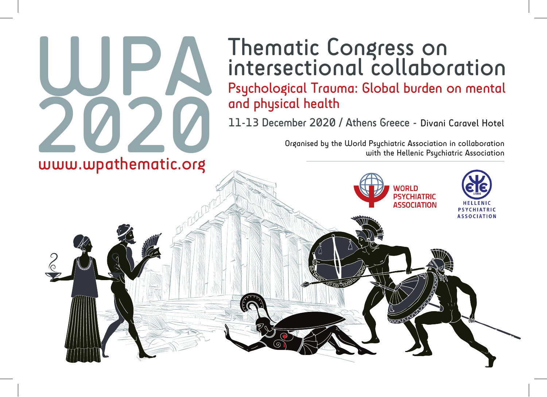